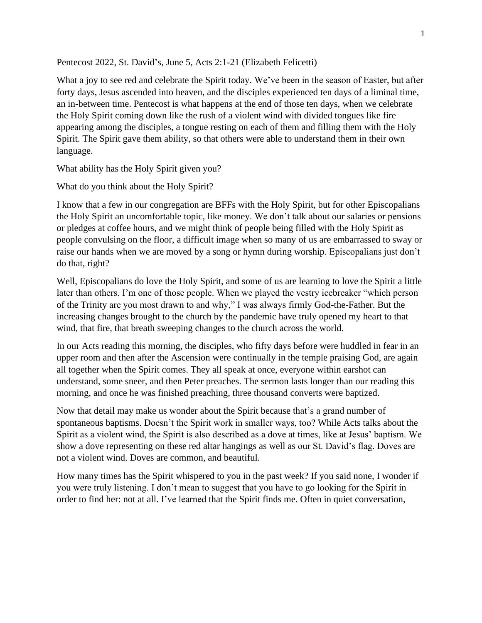Pentecost 2022, St. David's, June 5, Acts 2:1-21 (Elizabeth Felicetti)

What a joy to see red and celebrate the Spirit today. We've been in the season of Easter, but after forty days, Jesus ascended into heaven, and the disciples experienced ten days of a liminal time, an in-between time. Pentecost is what happens at the end of those ten days, when we celebrate the Holy Spirit coming down like the rush of a violent wind with divided tongues like fire appearing among the disciples, a tongue resting on each of them and filling them with the Holy Spirit. The Spirit gave them ability, so that others were able to understand them in their own language.

What ability has the Holy Spirit given you?

What do you think about the Holy Spirit?

I know that a few in our congregation are BFFs with the Holy Spirit, but for other Episcopalians the Holy Spirit an uncomfortable topic, like money. We don't talk about our salaries or pensions or pledges at coffee hours, and we might think of people being filled with the Holy Spirit as people convulsing on the floor, a difficult image when so many of us are embarrassed to sway or raise our hands when we are moved by a song or hymn during worship. Episcopalians just don't do that, right?

Well, Episcopalians do love the Holy Spirit, and some of us are learning to love the Spirit a little later than others. I'm one of those people. When we played the vestry icebreaker "which person of the Trinity are you most drawn to and why," I was always firmly God-the-Father. But the increasing changes brought to the church by the pandemic have truly opened my heart to that wind, that fire, that breath sweeping changes to the church across the world.

In our Acts reading this morning, the disciples, who fifty days before were huddled in fear in an upper room and then after the Ascension were continually in the temple praising God, are again all together when the Spirit comes. They all speak at once, everyone within earshot can understand, some sneer, and then Peter preaches. The sermon lasts longer than our reading this morning, and once he was finished preaching, three thousand converts were baptized.

Now that detail may make us wonder about the Spirit because that's a grand number of spontaneous baptisms. Doesn't the Spirit work in smaller ways, too? While Acts talks about the Spirit as a violent wind, the Spirit is also described as a dove at times, like at Jesus' baptism. We show a dove representing on these red altar hangings as well as our St. David's flag. Doves are not a violent wind. Doves are common, and beautiful.

How many times has the Spirit whispered to you in the past week? If you said none, I wonder if you were truly listening. I don't mean to suggest that you have to go looking for the Spirit in order to find her: not at all. I've learned that the Spirit finds me. Often in quiet conversation,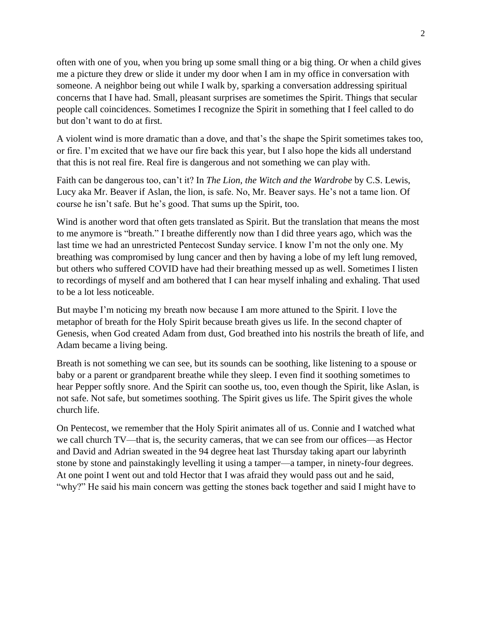often with one of you, when you bring up some small thing or a big thing. Or when a child gives me a picture they drew or slide it under my door when I am in my office in conversation with someone. A neighbor being out while I walk by, sparking a conversation addressing spiritual concerns that I have had. Small, pleasant surprises are sometimes the Spirit. Things that secular people call coincidences. Sometimes I recognize the Spirit in something that I feel called to do but don't want to do at first.

A violent wind is more dramatic than a dove, and that's the shape the Spirit sometimes takes too, or fire. I'm excited that we have our fire back this year, but I also hope the kids all understand that this is not real fire. Real fire is dangerous and not something we can play with.

Faith can be dangerous too, can't it? In *The Lion, the Witch and the Wardrobe* by C.S. Lewis, Lucy aka Mr. Beaver if Aslan, the lion, is safe. No, Mr. Beaver says. He's not a tame lion. Of course he isn't safe. But he's good. That sums up the Spirit, too.

Wind is another word that often gets translated as Spirit. But the translation that means the most to me anymore is "breath." I breathe differently now than I did three years ago, which was the last time we had an unrestricted Pentecost Sunday service. I know I'm not the only one. My breathing was compromised by lung cancer and then by having a lobe of my left lung removed, but others who suffered COVID have had their breathing messed up as well. Sometimes I listen to recordings of myself and am bothered that I can hear myself inhaling and exhaling. That used to be a lot less noticeable.

But maybe I'm noticing my breath now because I am more attuned to the Spirit. I love the metaphor of breath for the Holy Spirit because breath gives us life. In the second chapter of Genesis, when God created Adam from dust, God breathed into his nostrils the breath of life, and Adam became a living being.

Breath is not something we can see, but its sounds can be soothing, like listening to a spouse or baby or a parent or grandparent breathe while they sleep. I even find it soothing sometimes to hear Pepper softly snore. And the Spirit can soothe us, too, even though the Spirit, like Aslan, is not safe. Not safe, but sometimes soothing. The Spirit gives us life. The Spirit gives the whole church life.

On Pentecost, we remember that the Holy Spirit animates all of us. Connie and I watched what we call church TV—that is, the security cameras, that we can see from our offices—as Hector and David and Adrian sweated in the 94 degree heat last Thursday taking apart our labyrinth stone by stone and painstakingly levelling it using a tamper—a tamper, in ninety-four degrees. At one point I went out and told Hector that I was afraid they would pass out and he said, "why?" He said his main concern was getting the stones back together and said I might have to